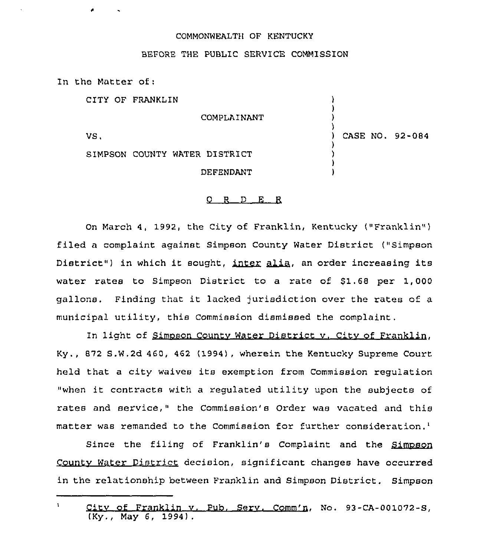## COMMONWEALT)( OF KENTUCKY

## BEFORE THE PUBLIC SERVICE COMMISSION

In the Matter of:

CITY OF FRANKLIN

COMPLAINANT

VS,

) CASE NQ. 92-084

) ) )  $\lambda$ 

) ) ) )

SIMPSON COUNTY WATER DISTRICT DEFENDANT

## 0 R <sup>D</sup> E R

On March 4, 1992, the City of Franklin, Kentucky ("Franklin" ) filed a complaint against Simpson County Water District ("Simpso District") in which it sought, inter alia, an order increasing its of Franklin, Kentucky ("Franklin")<br>aon County Water District ("Simpsor<br>inter alia, an order increasing its<br>ist to a rate of fl fl cannot 1,000 water rates to Simpson District to a rate of \$1.68 per 1,000 gallons. Finding that it lacked jurisdiction over the rates of <sup>a</sup> municipal utility, this Commission dismissed the complaint.

In light of Simpson County Water District v. City of Franklin, Ky., 872 S.W.2d 460, 462 (1994), wherein the Kentucky Supreme Court held that <sup>a</sup> city waives its exemption from Commission regulation "when it contracts with <sup>a</sup> regulated utility upon the subjects of rates and service," the Commission's Order was vacated and this matter was remanded to the Commission for further consideration.<sup>1</sup>

Since the filing of Franklin's Complaint and the Simpson Countv Water District decision, significant changes have occurred in the relationship between Franklin and Simpson District. Simpson

Citv of Franklin v. Pub. Serv. Comm'n, No. 93-CA-001072-S, (Ky., May 6, 1994),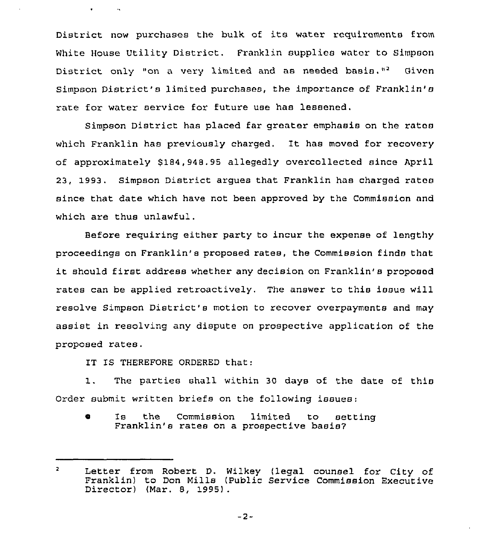District now purchases the bulk of its water requirements from White House Utility District. Franklin supplies wator to Simpson District only "on a very limited and as needed basis."<sup>2</sup> Given Simpson District's limited purchases, the importance of Franklin's rate for water service for future use has lessened.

Simpson District has placed far greater emphasis on the ratas which Franklin has previously charged. It has moved for recovery of approximately \$184,948.95 allegedly overcollected since April 23, 1993. Simpson District argues that Franklin has charged rates since that date which have not been approved by the Commission and which are thus unlawful.

Before requiring either party to incur the expense of lengthy proceedings on Franklin's proposed rates, the Commission finds that it should first address whether any decision on Franklin's proposed rates can be applied retroactively. The answer to this issue will resolve Simpson District\*s motion to recover overpayments and may assist in resolving any dispute on prospective application of the proposed rates.

IT IS THEREFORE ORDERED that:

 $\bullet$ 

 $\mathcal{A}_{\mathbf{X}}$ 

1. The parties shall within <sup>30</sup> days of the date of this Order submit written briefs on the following issues:

<sup>s</sup> Is the Commission limited to setting Franklin's rates on <sup>a</sup> prospective basis7

 $-2-$ 

 $\overline{2}$ Letter from Robert D. Wilkey (legal counsel for city of Franklin) to Don Mills (Public Service Commission Executive Director) (Mar. 8, 1995) .